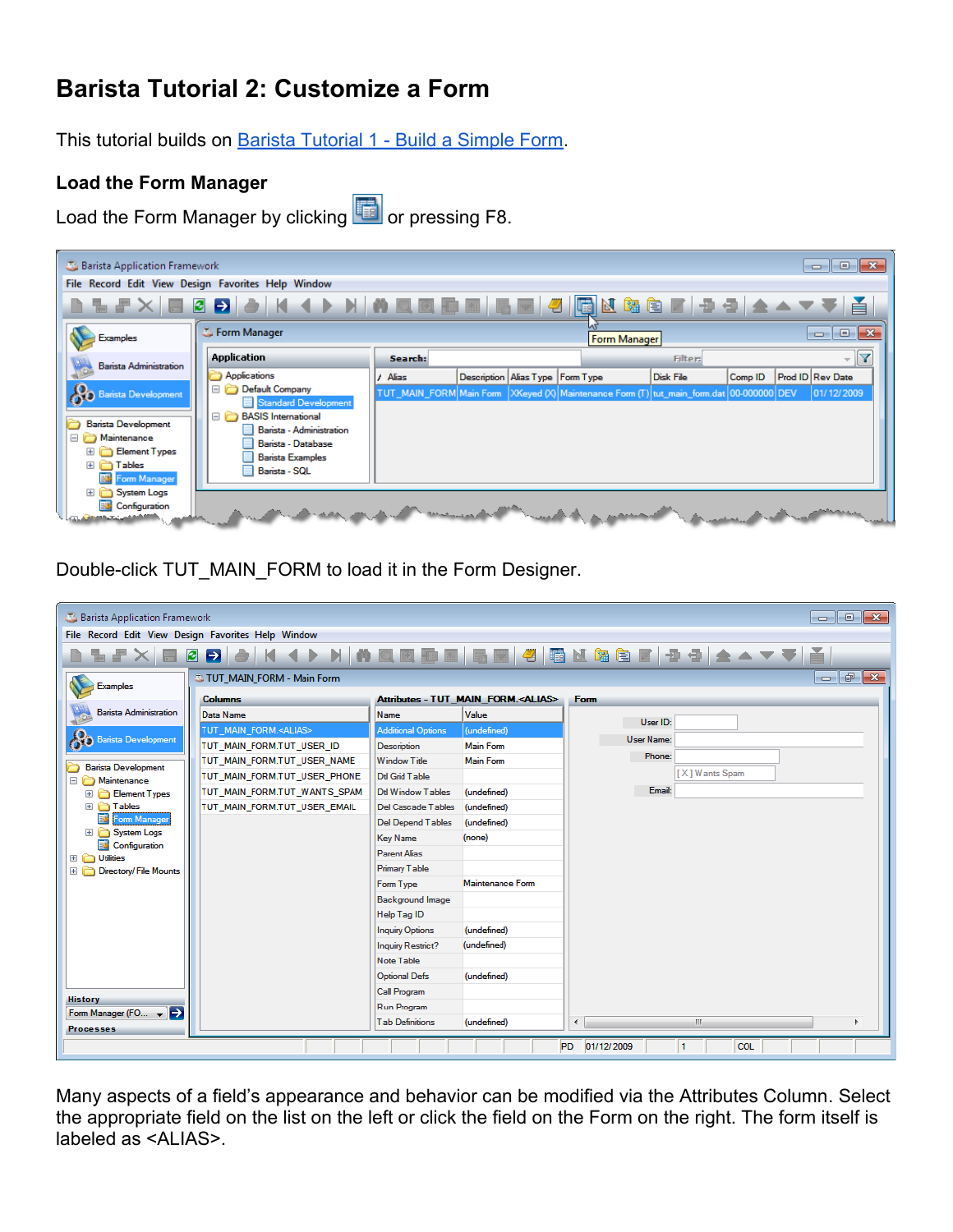## **Barista Tutorial 2: Customize a Form**

This tutorial builds on [Barista Tutorial 1 - Build a Simple Form](http://www.google.com/url?q=http%3A%2F%2Fdocumentation.basis.com%2FBaristaDIP%2FBarista%2520Tutorial%25201%2520-%2520Build%2520a%2520Simple%2520Form.pdf&sa=D&sntz=1&usg=AFQjCNF4tDPBnprgCqzipwxgkbpEWipaug).

## **Load the Form Manager**

Load the Form Manager by clicking **the last or pressing F8.** 



Double-click TUT\_MAIN\_FORM to load it in the Form Designer.

| $\begin{array}{c c c c c c} \hline \multicolumn{3}{c }{\mathbf{C}} & \multicolumn{3}{c }{\mathbf{C}} & \multicolumn{3}{c }{\mathbf{X}} \\\hline \multicolumn{3}{c }{\mathbf{C}} & \multicolumn{3}{c }{\mathbf{C}} & \multicolumn{3}{c }{\mathbf{S}} \end{array}$<br>Barista Application Framework |                                |                           |                                             |                                             |  |
|---------------------------------------------------------------------------------------------------------------------------------------------------------------------------------------------------------------------------------------------------------------------------------------------------|--------------------------------|---------------------------|---------------------------------------------|---------------------------------------------|--|
| File Record Edit View Design Favorites Help Window                                                                                                                                                                                                                                                |                                |                           |                                             |                                             |  |
| KKINAQ⊠DE BEGIO GEBEGIDO AAVVÄ<br>$\mathbf{B}$ $\mathbf{B}$                                                                                                                                                                                                                                       |                                |                           |                                             |                                             |  |
| $-5$<br>$\mathbf{x}$<br>TUT_MAIN_FORM - Main Form<br>$\overline{\phantom{a}}$<br><b>Examples</b>                                                                                                                                                                                                  |                                |                           |                                             |                                             |  |
|                                                                                                                                                                                                                                                                                                   | <b>Columns</b>                 |                           | Attributes - TUT_MAIN_FORM. <alias></alias> | Form                                        |  |
| <b>Barista Administration</b>                                                                                                                                                                                                                                                                     | Data Name                      | Name                      | Value                                       |                                             |  |
|                                                                                                                                                                                                                                                                                                   | TUT MAIN FORM. <alias></alias> | <b>Additional Options</b> | (undefined)                                 | User ID:                                    |  |
| <b>Barista Development</b>                                                                                                                                                                                                                                                                        | TUT MAIN FORM.TUT USER ID      | Description               | <b>Main Form</b>                            | <b>User Name:</b>                           |  |
| <b>Barista Development</b>                                                                                                                                                                                                                                                                        | TUT MAIN FORM.TUT USER NAME    | <b>Window Title</b>       | <b>Main Form</b>                            | Phone:                                      |  |
| Maintenance                                                                                                                                                                                                                                                                                       | TUT_MAIN_FORM.TUT_USER_PHONE   | Dtl Grid Table            |                                             | [X] Wants Spam                              |  |
| Element Types<br>Ð                                                                                                                                                                                                                                                                                | TUT_MAIN_FORM.TUT_WANTS_SPAM   | <b>Dtl Window Tables</b>  | (undefined)                                 | Email:                                      |  |
| <b>E Tables</b>                                                                                                                                                                                                                                                                                   | TUT MAIN FORM.TUT USER EMAIL   | <b>Del Cascade Tables</b> | (undefined)                                 |                                             |  |
| om Manager                                                                                                                                                                                                                                                                                        |                                | <b>Del Depend Tables</b>  | (undefined)                                 |                                             |  |
| El System Logs<br>Configuration                                                                                                                                                                                                                                                                   |                                | <b>Key Name</b>           | (none)                                      |                                             |  |
| El C Utilities                                                                                                                                                                                                                                                                                    |                                | <b>Parent Alias</b>       |                                             |                                             |  |
| Directory/File Mounts                                                                                                                                                                                                                                                                             |                                | <b>Primary Table</b>      |                                             |                                             |  |
|                                                                                                                                                                                                                                                                                                   |                                | Form Type                 | Maintenance Form                            |                                             |  |
|                                                                                                                                                                                                                                                                                                   |                                | <b>Background Image</b>   |                                             |                                             |  |
|                                                                                                                                                                                                                                                                                                   |                                | Help Tag ID               |                                             |                                             |  |
|                                                                                                                                                                                                                                                                                                   |                                | <b>Inquiry Options</b>    | (undefined)                                 |                                             |  |
|                                                                                                                                                                                                                                                                                                   |                                | <b>Inquiry Restrict?</b>  | (undefined)                                 |                                             |  |
|                                                                                                                                                                                                                                                                                                   |                                | Note Table                |                                             |                                             |  |
|                                                                                                                                                                                                                                                                                                   |                                | <b>Optional Defs</b>      | (undefined)                                 |                                             |  |
| <b>History</b>                                                                                                                                                                                                                                                                                    |                                | <b>Call Program</b>       |                                             |                                             |  |
| Form Manager (FO $\leftarrow$ $\leftarrow$                                                                                                                                                                                                                                                        |                                | Run Program               |                                             |                                             |  |
| <b>Processes</b>                                                                                                                                                                                                                                                                                  |                                | <b>Tab Definitions</b>    | (undefined)                                 | m.<br>∢                                     |  |
|                                                                                                                                                                                                                                                                                                   |                                |                           |                                             | PD 01/12/2009<br>$\mathbf{1}$<br><b>COL</b> |  |
|                                                                                                                                                                                                                                                                                                   |                                |                           |                                             |                                             |  |

Many aspects of a field's appearance and behavior can be modified via the Attributes Column. Select the appropriate field on the list on the left or click the field on the Form on the right. The form itself is labeled as <ALIAS>.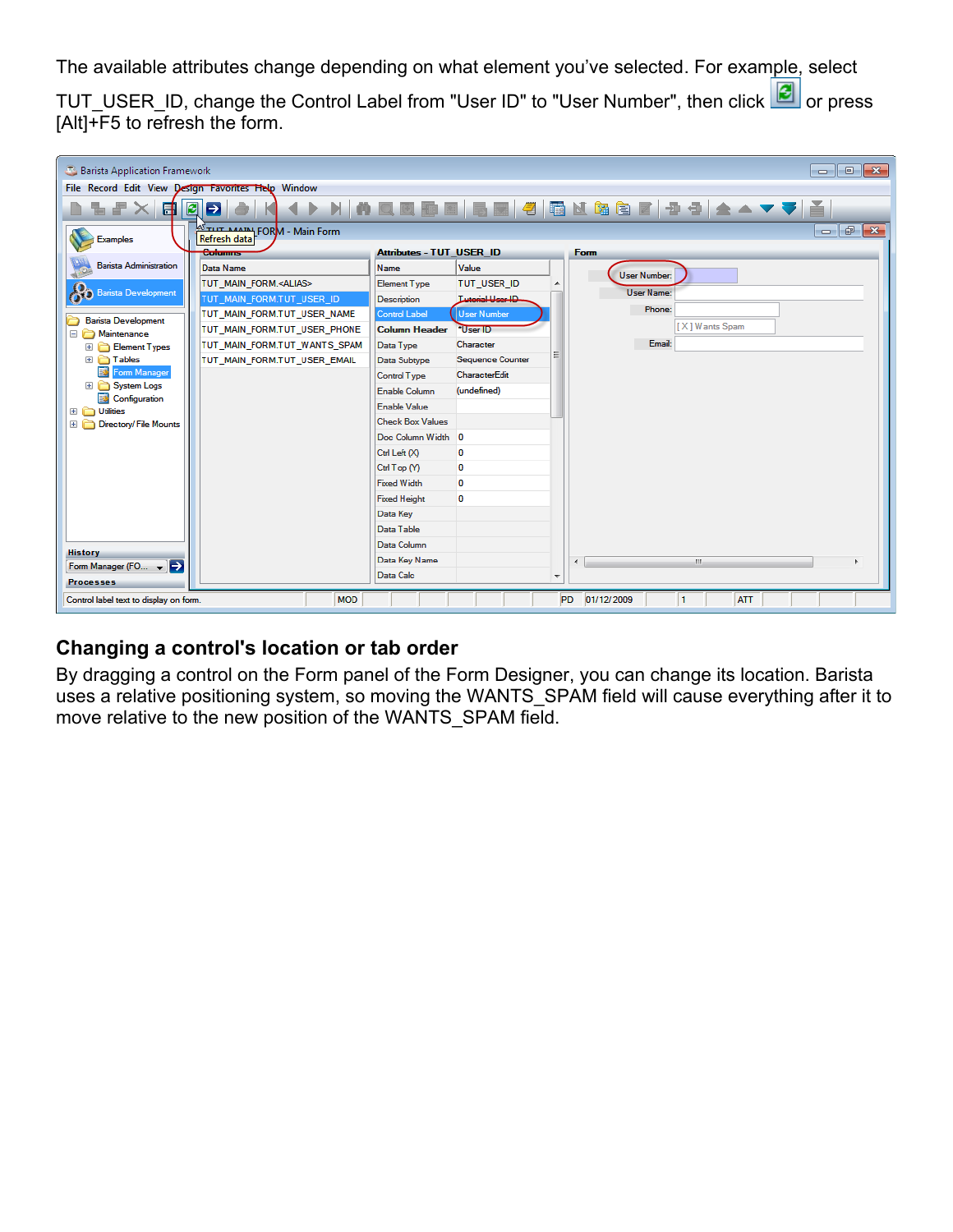The available attributes change depending on what element you've selected. For example, select

TUT\_USER\_ID, change the Control Label from "User ID" to "User Number", then click  $\Box$  or press  $[Alt]$ +F5 to refresh the form.

| $\begin{array}{c c c c c c} \hline \multicolumn{3}{c }{\mathbf{C}} & \multicolumn{3}{c }{\mathbf{S}} & \multicolumn{3}{c }{\mathbf{S}} & \multicolumn{3}{c }{\mathbf{S}} & \multicolumn{3}{c }{\mathbf{S}} & \multicolumn{3}{c }{\mathbf{S}} & \multicolumn{3}{c }{\mathbf{S}} & \multicolumn{3}{c }{\mathbf{S}} & \multicolumn{3}{c }{\mathbf{S}} & \multicolumn{3}{c }{\mathbf{S}} & \multicolumn{3}{c }{\mathbf{S}} & \multicolumn{3}{c }{\mathbf$<br>Barista Application Framework |                                                                 |                                 |                         |   |                                  |                                                 |
|----------------------------------------------------------------------------------------------------------------------------------------------------------------------------------------------------------------------------------------------------------------------------------------------------------------------------------------------------------------------------------------------------------------------------------------------------------------------------------------|-----------------------------------------------------------------|---------------------------------|-------------------------|---|----------------------------------|-------------------------------------------------|
| File Record Edit View Design Favorites Help Window                                                                                                                                                                                                                                                                                                                                                                                                                                     |                                                                 |                                 |                         |   |                                  |                                                 |
| N N Q Q B B B B 4 G N & 6 F D 4 A V V A<br>$\blacksquare$<br>- 1<br>81                                                                                                                                                                                                                                                                                                                                                                                                                 |                                                                 |                                 |                         |   |                                  |                                                 |
| <b>Examples</b>                                                                                                                                                                                                                                                                                                                                                                                                                                                                        | <b>SETTLE AAAIN</b> FORM - Main Form<br>Refresh data<br>Culumns | <b>Attributes - TUT_USER_ID</b> |                         |   | Form                             | $-$<br>$\mathbf{x}$<br>$\overline{\phantom{a}}$ |
| <b>Barista Administration</b>                                                                                                                                                                                                                                                                                                                                                                                                                                                          |                                                                 |                                 |                         |   |                                  |                                                 |
|                                                                                                                                                                                                                                                                                                                                                                                                                                                                                        | Data Name                                                       | Name                            | Value                   |   | <b>User Number:</b>              |                                                 |
| <b>Barista Development</b>                                                                                                                                                                                                                                                                                                                                                                                                                                                             | TUT_MAIN_FORM. <alias></alias>                                  | <b>Element Type</b>             | TUT_USER_ID             |   | <b>User Name:</b>                |                                                 |
|                                                                                                                                                                                                                                                                                                                                                                                                                                                                                        | TUT MAIN FORM.TUT USER ID                                       | Description                     | <b>Tutorial User ID</b> |   | Phone:                           |                                                 |
| <b>Barista Development</b>                                                                                                                                                                                                                                                                                                                                                                                                                                                             | TUT_MAIN_FORM.TUT_USER_NAME                                     | <b>Control Label</b>            | <b>User Number</b>      |   |                                  |                                                 |
| Maintenance                                                                                                                                                                                                                                                                                                                                                                                                                                                                            | TUT_MAIN_FORM.TUT_USER_PHONE                                    | <b>Column Header</b>            | *User ID                |   | [X] Wants Spam                   |                                                 |
| Element Types                                                                                                                                                                                                                                                                                                                                                                                                                                                                          | TUT_MAIN_FORM.TUT_WANTS_SPAM                                    | Data Type                       | Character               |   | Email:                           |                                                 |
| E <b>Tables</b>                                                                                                                                                                                                                                                                                                                                                                                                                                                                        | TUT_MAIN_FORM.TUT_USER_EMAIL                                    | Data Subtype                    | <b>Sequence Counter</b> |   |                                  |                                                 |
| Form Manager                                                                                                                                                                                                                                                                                                                                                                                                                                                                           |                                                                 | Control Type                    | CharacterEdit           |   |                                  |                                                 |
| <b>System Logs</b><br>$\blacksquare$<br>Configuration                                                                                                                                                                                                                                                                                                                                                                                                                                  |                                                                 | <b>Enable Column</b>            | (undefined)             |   |                                  |                                                 |
| El <b>C</b> Utilities                                                                                                                                                                                                                                                                                                                                                                                                                                                                  |                                                                 | Enable Value                    |                         |   |                                  |                                                 |
| Directory/File Mounts                                                                                                                                                                                                                                                                                                                                                                                                                                                                  |                                                                 | <b>Check Box Values</b>         |                         |   |                                  |                                                 |
|                                                                                                                                                                                                                                                                                                                                                                                                                                                                                        |                                                                 | Doc Column Width 0              |                         |   |                                  |                                                 |
|                                                                                                                                                                                                                                                                                                                                                                                                                                                                                        |                                                                 | Ctrl Left (X)                   | 0                       |   |                                  |                                                 |
|                                                                                                                                                                                                                                                                                                                                                                                                                                                                                        |                                                                 | Ctrl Top (Y)                    | 0                       |   |                                  |                                                 |
|                                                                                                                                                                                                                                                                                                                                                                                                                                                                                        |                                                                 | <b>Fixed Width</b>              | 0                       |   |                                  |                                                 |
|                                                                                                                                                                                                                                                                                                                                                                                                                                                                                        |                                                                 | <b>Fixed Height</b>             | 0                       |   |                                  |                                                 |
|                                                                                                                                                                                                                                                                                                                                                                                                                                                                                        |                                                                 | Data Key                        |                         |   |                                  |                                                 |
|                                                                                                                                                                                                                                                                                                                                                                                                                                                                                        |                                                                 | Data Table                      |                         |   |                                  |                                                 |
|                                                                                                                                                                                                                                                                                                                                                                                                                                                                                        |                                                                 | Data Column                     |                         |   |                                  |                                                 |
| <b>History</b>                                                                                                                                                                                                                                                                                                                                                                                                                                                                         |                                                                 | Data Key Name                   |                         |   | m.<br>$\overline{a}$             |                                                 |
| Form Manager (FO $\leftarrow$ $\rightarrow$<br><b>Processes</b>                                                                                                                                                                                                                                                                                                                                                                                                                        |                                                                 | Data Calc                       |                         | ٠ |                                  |                                                 |
| Control label text to display on form.                                                                                                                                                                                                                                                                                                                                                                                                                                                 | <b>MOD</b>                                                      |                                 |                         |   | PD 01/12/2009<br>1<br><b>ATT</b> |                                                 |

## **Changing a control's location or tab order**

By dragging a control on the Form panel of the Form Designer, you can change its location. Barista uses a relative positioning system, so moving the WANTS SPAM field will cause everything after it to move relative to the new position of the WANTS\_SPAM field.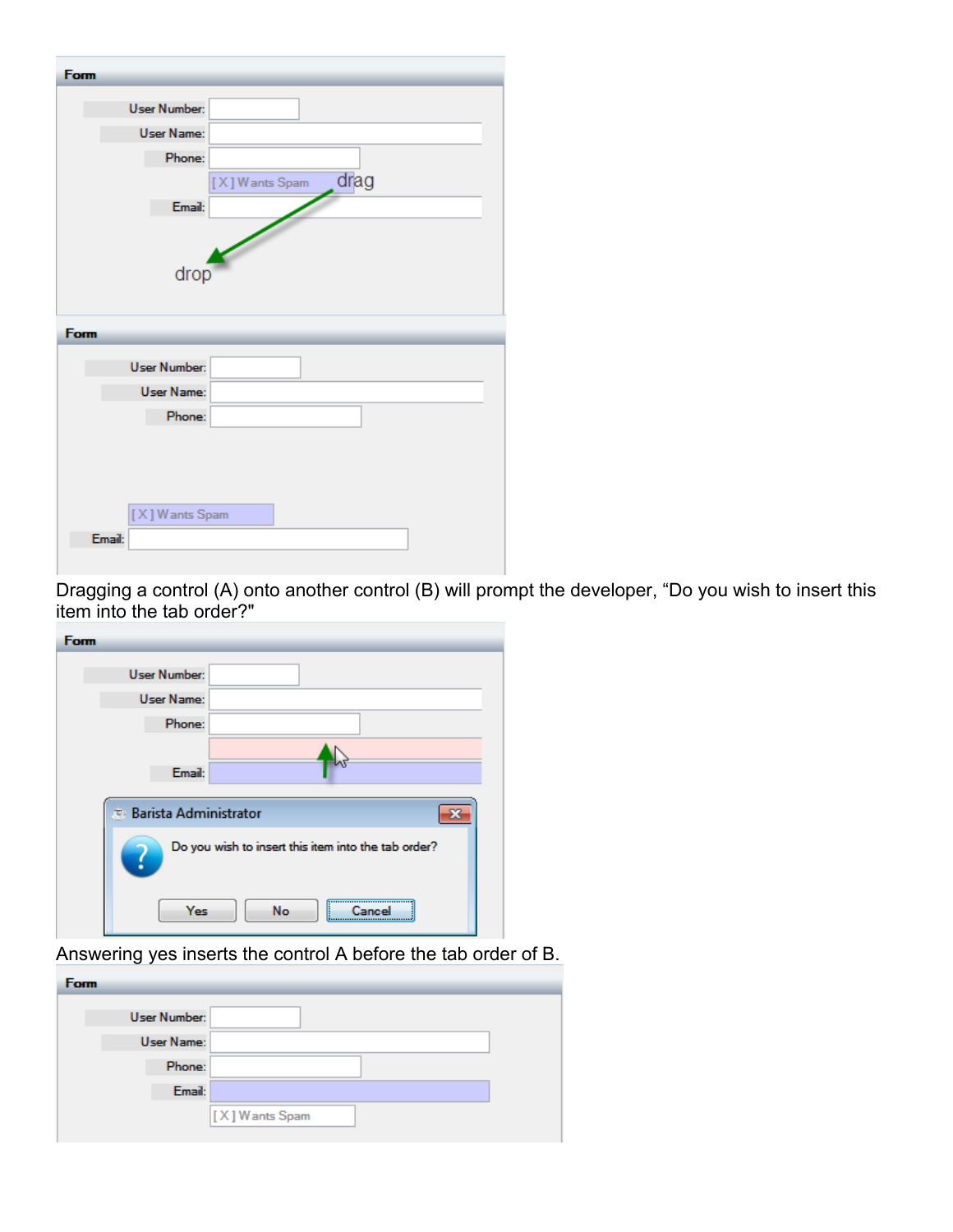| Form                |                        |
|---------------------|------------------------|
| <b>User Number:</b> |                        |
| <b>User Name:</b>   |                        |
| Phone:              |                        |
|                     | drag<br>[X] Wants Spam |
|                     | Email:                 |
|                     |                        |
|                     | drop                   |
|                     |                        |
|                     |                        |
| Form                |                        |
| <b>User Number:</b> |                        |
| <b>User Name:</b>   |                        |
| Phone:              |                        |
|                     |                        |
|                     |                        |
|                     |                        |
| [X] Wants Spam      |                        |
| Email:              |                        |
|                     |                        |

Dragging a control (A) onto another control (B) will prompt the developer, "Do you wish to insert this item into the tab order?"

| Form                                                |
|-----------------------------------------------------|
| <b>User Number:</b>                                 |
| <b>User Name:</b>                                   |
| Phone:                                              |
| Email:                                              |
| * Barista Administrator                             |
| Do you wish to insert this item into the tab order? |
| Yes<br>No<br>,,,,,,,,,,,,,,,,,,,,,,,,,,,,,,,,,,     |

Answering yes inserts the control A before the tab order of B.

| <b>Form</b> |                     |
|-------------|---------------------|
|             | <b>User Number:</b> |
|             | User Name:          |
|             | Phone:              |
|             | Email:              |
|             | [X] Wants Spam      |